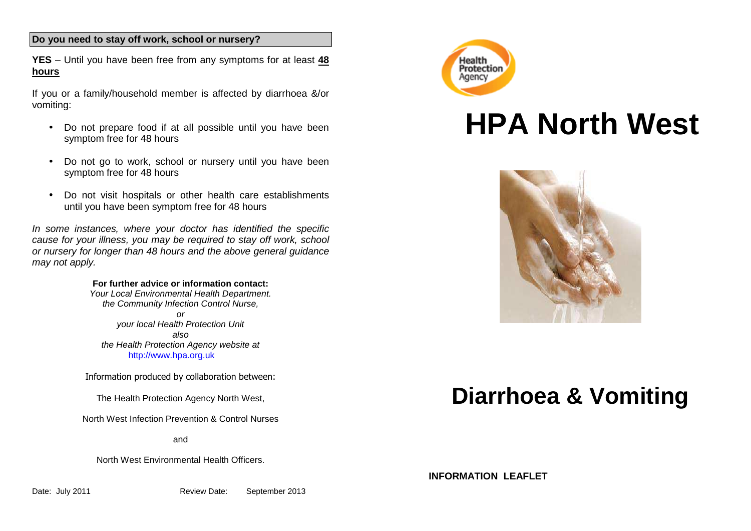## **Do you need to stay off work, school or nursery?**

**YES** – Until you have been free from any symptoms for at least **48 hours** 

If you or a family/household member is affected by diarrhoea &/or vomiting:

- Do not prepare food if at all possible until you have been symptom free for 48 hours
- Do not go to work, school or nursery until you have been symptom free for 48 hours
- Do not visit hospitals or other health care establishments until you have been symptom free for 48 hours

In some instances, where your doctor has identified the specific cause for your illness, you may be required to stay off work, school or nursery for longer than 48 hours and the above general guidance may not apply.

#### **For further advice or information contact:**

 Your Local Environmental Health Department.the Community Infection Control Nurse, or your local Health Protection Unit also the Health Protection Agency website at http://www.hpa.org.uk

Information produced by collaboration between:

The Health Protection Agency North West,

North West Infection Prevention & Control Nurses

and

North West Environmental Health Officers.



# **HPA North West**



# **Diarrhoea & Vomiting**

**INFORMATION LEAFLET**